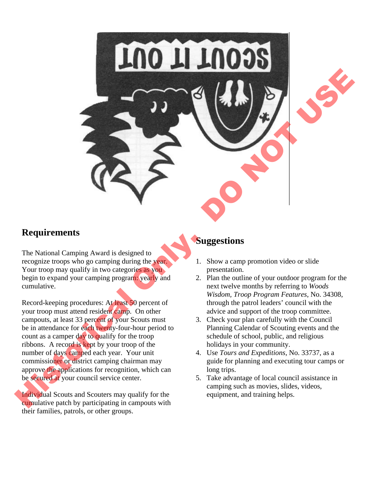

### **Requirements**

The National Camping Award is designed to recognize troops who go camping during the year. Your troop may qualify in two categories as you. begin to expand your camping program: yearly and cumulative.

Record-keeping procedures: At least 50 percent of your troop must attend resident camp. On other campouts, at least 33 percent of your Scouts must be in attendance for each twenty-four-hour period to count as a camper day to qualify for the troop ribbons. A record is kept by your troop of the number of days camped each year. Your unit commissioner or district camping chairman may approve the applications for recognition, which can be secured at your council service center.

Individual Scouts and Scouters may qualify for the cumulative patch by participating in campouts with their families, patrols, or other groups.

# **Suggestions**

- 1. Show a camp promotion video or slide presentation.
- 2. Plan the outline of your outdoor program for the next twelve months by referring to *Woods Wisdom, Troop Program Features*, No. 34308, through the patrol leaders' council with the advice and support of the troop committee.
- 3. Check your plan carefully with the Council Planning Calendar of Scouting events and the schedule of school, public, and religious holidays in your community.
- 4. Use *Tours and Expeditions*, No. 33737, as a guide for planning and executing tour camps or long trips.
- 5. Take advantage of local council assistance in camping such as movies, slides, videos, equipment, and training helps.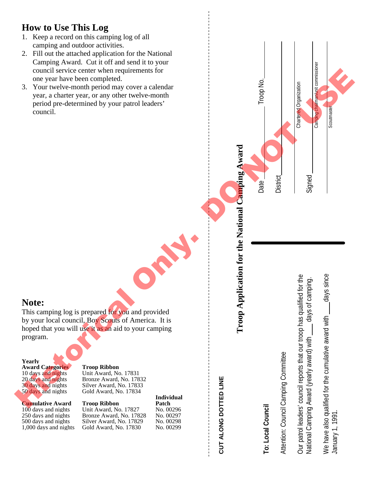# **How to Use This Log**

- 1. Keep a record on this camping log of all camping and outdoor activities.
- 2. Fill out the attached application for the National Camping Award. Cut it off and send it to your council service center when requirements for one year have been completed.
- 3. Your twelve -month period may cover a calendar year, a charter year, or any other twelve -month period pre -determined by your patrol leaders' council.

# **CUT ALONG DOTTED LINE**

# **Troop Application for the National Camping Award**

Date Troop No.

**District** 

Chartered Organization

Camping chairman/unit commissioner

Scoutmaste

Signed

# **To: Local Council**

Attention: Council Camping Committee

Our patrol leaders' council reports that our troop has qualified for the National Camping Award (yearly award) with \_\_\_\_ days of camping. We have also qualified for the cumulative award with  $\qquad$  days since January 1, 1991. lanuary 1, 1991

## **Note:**

This camping log is prepared for you and provided<br>by your local council, Boy Scouts of America. It is hoped that you will use it as an aid to your camping program. For the two contents of the contents of the contents of the contents of the contents of the contents of the contents of the contents of the contents of the contents of the contents of the contents of the contents of the c

**Yearly Award Categories Troop Ribbon**<br>
10 days and nights Unit Award, No

10 days and nights Unit Award, No. 17831<br>20 days and nights Bronze Award, No. 178 Bronze Award, No. 17832 30 days and nights Silver Award, No. 17833<br>50 days and nights Gold Award, No. 17834 Gold Award, No. 17834

**Cumulative Award Troop Ribbon Patch**<br>100 days and nights Unit Award, No. 17827 No. 00296 10 Unit Award, No. 17827 No. 00296<br>100 Bronze Award, No. 17828 No. 00297 250 days and nights Bronze Award, No. 17828 500 days and nights Silver Award, No. 17829 No. 00298<br>1,000 days and nights Gold Award, No. 17830 No. 00299 Gold Award, No. 17830

**Individual**